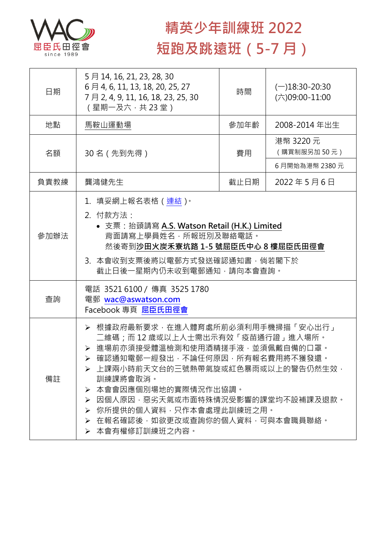

## **精英少年訓練班 2022 短跑及跳遠班(5-7 月)**

| 日期   | 5月14, 16, 21, 23, 28, 30<br>6月4, 6, 11, 13, 18, 20, 25, 27<br>7 月 2, 4, 9, 11, 16, 18, 23, 25, 30<br>(星期一及六,共 23 堂)                                                                                                                                                                                                                                     | 時間   | $(-)18:30-20:30$<br>$(\dot\wedge)09:00-11:00$ |  |
|------|---------------------------------------------------------------------------------------------------------------------------------------------------------------------------------------------------------------------------------------------------------------------------------------------------------------------------------------------------------|------|-----------------------------------------------|--|
| 地點   | 馬鞍山運動場                                                                                                                                                                                                                                                                                                                                                  | 參加年齡 | 2008-2014 年出生                                 |  |
| 名額   | 30 名 (先到先得)                                                                                                                                                                                                                                                                                                                                             | 費用   | 港幣 3220 元<br>(購買制服另加50元)                      |  |
|      |                                                                                                                                                                                                                                                                                                                                                         |      | 6月開始為港幣 2380元                                 |  |
| 負責教練 | 龔鴻健先生                                                                                                                                                                                                                                                                                                                                                   | 截止日期 | 2022年5月6日                                     |  |
| 參加辦法 | 1. 填妥網上報名表格 (連結)。<br>2. 付款方法:<br>• 支票: 抬頭請寫 A.S. Watson Retail (H.K.) Limited<br>背面請寫上學員姓名,所報班別及聯絡電話。<br>然後寄到沙田火炭禾寮坑路 1-5 號屈臣氏中心 8 樓屈臣氏田徑會<br>3. 本會收到支票後將以電郵方式發送確認通知書,倘若閣下於<br>截止日後一星期內仍未收到電郵通知,請向本會查詢。                                                                                                                                                 |      |                                               |  |
| 查詢   | 電話 3521 6100 / 傳真 3525 1780<br>電郵 wac@aswatson.com<br>Facebook 專頁 屈臣氏田徑會                                                                                                                                                                                                                                                                                |      |                                               |  |
| 備註   | 根據政府最新要求,在進入體育處所前必須利用手機掃描「安心出行」<br>二維碼﹔而 12 歲或以上人士需出示有效「疫苗通行證」進入場所。<br>> 進場前亦須接受體溫檢測和使用酒精搓手液,並須佩戴自備的口罩。<br>確認通知電郵一經發出,不論任何原因,所有報名費用將不獲發還。<br>▶ 上課兩小時前天文台的三號熱帶氣旋或紅色暴雨或以上的警告仍然生效,<br>訓練課將會取消。<br>本會會因應個別場地的實際情況作出協調。<br>➤<br>因個人原因,惡劣天氣或市面特殊情況受影響的課堂均不設補課及退款。<br>➤<br>你所提供的個人資料,只作本會處理此訓練班之用。<br>➤<br>➢ 在報名確認後,如欲更改或查詢你的個人資料,可與本會職員聯絡。<br>➢ 本會有權修訂訓練班之內容。 |      |                                               |  |